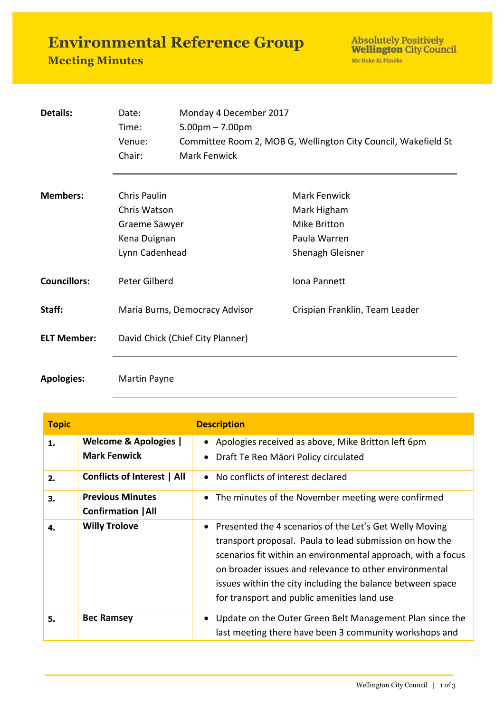**Environmental Reference Group**

## **Meeting Minutes**

Absolutely Positively<br>Wellington City Council Me Heke Ki Pôneke

| Details:            | Date:                            | Monday 4 December 2017                                         |                                |  |
|---------------------|----------------------------------|----------------------------------------------------------------|--------------------------------|--|
|                     | Time:                            | $5.00pm - 7.00pm$                                              |                                |  |
|                     | Venue:                           | Committee Room 2, MOB G, Wellington City Council, Wakefield St |                                |  |
|                     | Chair:                           | Mark Fenwick                                                   |                                |  |
| <b>Members:</b>     | Chris Paulin                     |                                                                | Mark Fenwick                   |  |
|                     | Chris Watson                     |                                                                | Mark Higham                    |  |
|                     | Graeme Sawyer                    |                                                                | Mike Britton                   |  |
|                     | Kena Duignan                     |                                                                | Paula Warren                   |  |
|                     | Lynn Cadenhead                   |                                                                | Shenagh Gleisner               |  |
| <b>Councillors:</b> | Peter Gilberd                    |                                                                | Iona Pannett                   |  |
| Staff:              | Maria Burns, Democracy Advisor   |                                                                | Crispian Franklin, Team Leader |  |
| <b>ELT Member:</b>  | David Chick (Chief City Planner) |                                                                |                                |  |
|                     |                                  |                                                                |                                |  |

## **Apologies:** Martin Payne

| <b>Topic</b> |                                                         | <b>Description</b>                                                                                                                                                                                                                                                                                                                                          |
|--------------|---------------------------------------------------------|-------------------------------------------------------------------------------------------------------------------------------------------------------------------------------------------------------------------------------------------------------------------------------------------------------------------------------------------------------------|
| 1.           | <b>Welcome &amp; Apologies</b>  <br><b>Mark Fenwick</b> | • Apologies received as above, Mike Britton left 6pm<br>Draft Te Reo Māori Policy circulated                                                                                                                                                                                                                                                                |
| 2.           | <b>Conflicts of Interest   All</b>                      | • No conflicts of interest declared                                                                                                                                                                                                                                                                                                                         |
| 3.           | <b>Previous Minutes</b><br><b>Confirmation   All</b>    | The minutes of the November meeting were confirmed                                                                                                                                                                                                                                                                                                          |
| 4.           | <b>Willy Trolove</b>                                    | • Presented the 4 scenarios of the Let's Get Welly Moving<br>transport proposal. Paula to lead submission on how the<br>scenarios fit within an environmental approach, with a focus<br>on broader issues and relevance to other environmental<br>issues within the city including the balance between space<br>for transport and public amenities land use |
| 5.           | <b>Bec Ramsey</b>                                       | Update on the Outer Green Belt Management Plan since the<br>last meeting there have been 3 community workshops and                                                                                                                                                                                                                                          |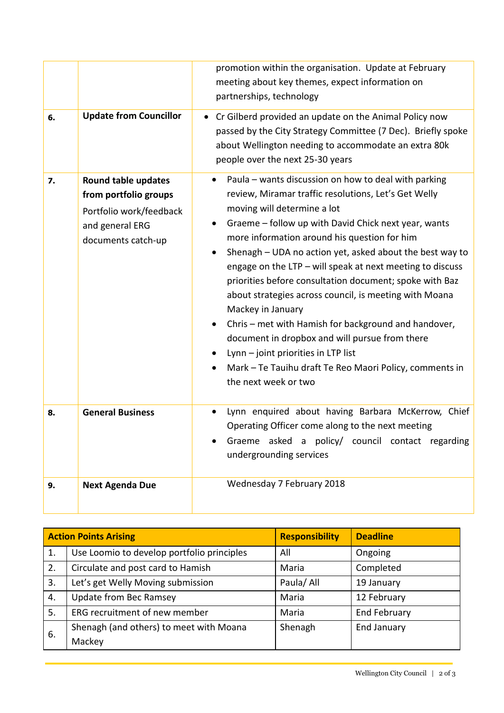|    |                                                                                                                  | promotion within the organisation. Update at February<br>meeting about key themes, expect information on<br>partnerships, technology                                                                                                                                                                                                                                                                                                                                                                                                                                                                                                                                                                                                                       |
|----|------------------------------------------------------------------------------------------------------------------|------------------------------------------------------------------------------------------------------------------------------------------------------------------------------------------------------------------------------------------------------------------------------------------------------------------------------------------------------------------------------------------------------------------------------------------------------------------------------------------------------------------------------------------------------------------------------------------------------------------------------------------------------------------------------------------------------------------------------------------------------------|
| 6. | <b>Update from Councillor</b>                                                                                    | • Cr Gilberd provided an update on the Animal Policy now<br>passed by the City Strategy Committee (7 Dec). Briefly spoke<br>about Wellington needing to accommodate an extra 80k<br>people over the next 25-30 years                                                                                                                                                                                                                                                                                                                                                                                                                                                                                                                                       |
| 7. | Round table updates<br>from portfolio groups<br>Portfolio work/feedback<br>and general ERG<br>documents catch-up | Paula - wants discussion on how to deal with parking<br>review, Miramar traffic resolutions, Let's Get Welly<br>moving will determine a lot<br>Graeme - follow up with David Chick next year, wants<br>more information around his question for him<br>Shenagh - UDA no action yet, asked about the best way to<br>engage on the LTP - will speak at next meeting to discuss<br>priorities before consultation document; spoke with Baz<br>about strategies across council, is meeting with Moana<br>Mackey in January<br>Chris - met with Hamish for background and handover,<br>document in dropbox and will pursue from there<br>Lynn - joint priorities in LTP list<br>Mark - Te Tauihu draft Te Reo Maori Policy, comments in<br>the next week or two |
| 8. | <b>General Business</b>                                                                                          | Lynn enquired about having Barbara McKerrow, Chief<br>Operating Officer come along to the next meeting<br>Graeme asked a policy/ council contact regarding<br>undergrounding services                                                                                                                                                                                                                                                                                                                                                                                                                                                                                                                                                                      |
| 9. | <b>Next Agenda Due</b>                                                                                           | Wednesday 7 February 2018                                                                                                                                                                                                                                                                                                                                                                                                                                                                                                                                                                                                                                                                                                                                  |

|    | <b>Action Points Arising</b>               | <b>Responsibility</b> | <b>Deadline</b>     |
|----|--------------------------------------------|-----------------------|---------------------|
| 1. | Use Loomio to develop portfolio principles | All                   | Ongoing             |
| 2. | Circulate and post card to Hamish          | Maria                 | Completed           |
| 3. | Let's get Welly Moving submission          | Paula/ All            | 19 January          |
| 4. | Update from Bec Ramsey                     | Maria                 | 12 February         |
| 5. | ERG recruitment of new member              | Maria                 | <b>End February</b> |
| 6. | Shenagh (and others) to meet with Moana    | Shenagh               | <b>End January</b>  |
|    | Mackey                                     |                       |                     |